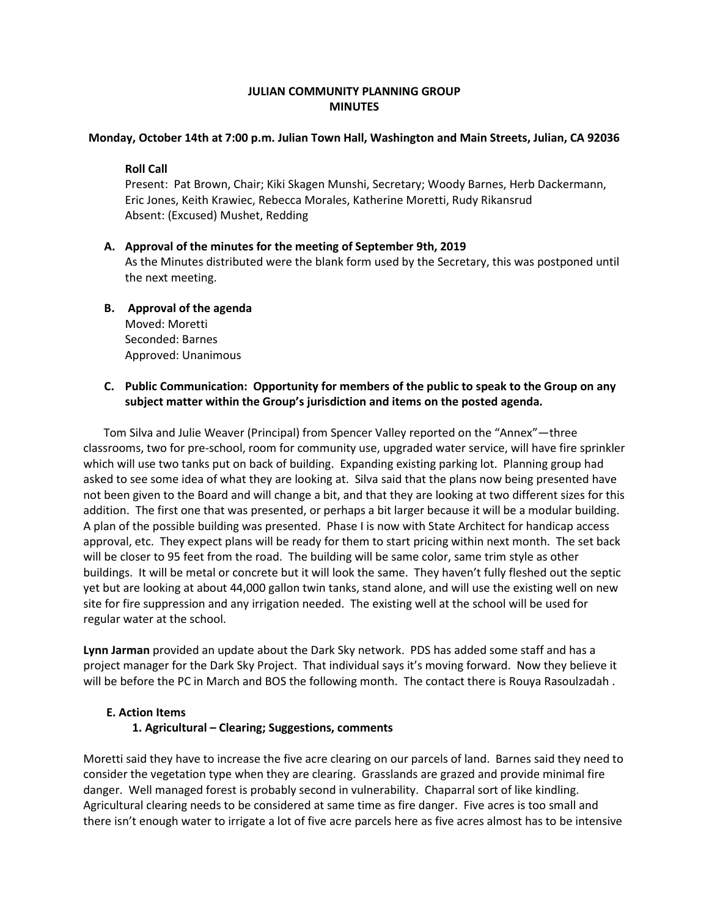## **JULIAN COMMUNITY PLANNING GROUP MINUTES**

### **Monday, October 14th at 7:00 p.m. Julian Town Hall, Washington and Main Streets, Julian, CA 92036**

### **Roll Call**

Present: Pat Brown, Chair; Kiki Skagen Munshi, Secretary; Woody Barnes, Herb Dackermann, Eric Jones, Keith Krawiec, Rebecca Morales, Katherine Moretti, Rudy Rikansrud Absent: (Excused) Mushet, Redding

# **A. Approval of the minutes for the meeting of September 9th, 2019**

As the Minutes distributed were the blank form used by the Secretary, this was postponed until the next meeting.

**B. Approval of the agenda** 

Moved: Moretti Seconded: Barnes Approved: Unanimous

# **C. Public Communication: Opportunity for members of the public to speak to the Group on any subject matter within the Group's jurisdiction and items on the posted agenda.**

Tom Silva and Julie Weaver (Principal) from Spencer Valley reported on the "Annex"—three classrooms, two for pre-school, room for community use, upgraded water service, will have fire sprinkler which will use two tanks put on back of building. Expanding existing parking lot. Planning group had asked to see some idea of what they are looking at. Silva said that the plans now being presented have not been given to the Board and will change a bit, and that they are looking at two different sizes for this addition. The first one that was presented, or perhaps a bit larger because it will be a modular building. A plan of the possible building was presented. Phase I is now with State Architect for handicap access approval, etc. They expect plans will be ready for them to start pricing within next month. The set back will be closer to 95 feet from the road. The building will be same color, same trim style as other buildings. It will be metal or concrete but it will look the same. They haven't fully fleshed out the septic yet but are looking at about 44,000 gallon twin tanks, stand alone, and will use the existing well on new site for fire suppression and any irrigation needed. The existing well at the school will be used for regular water at the school.

**Lynn Jarman** provided an update about the Dark Sky network. PDS has added some staff and has a project manager for the Dark Sky Project. That individual says it's moving forward. Now they believe it will be before the PC in March and BOS the following month. The contact there is Rouya Rasoulzadah.

### **E. Action Items**

### **1. Agricultural – Clearing; Suggestions, comments**

Moretti said they have to increase the five acre clearing on our parcels of land. Barnes said they need to consider the vegetation type when they are clearing. Grasslands are grazed and provide minimal fire danger. Well managed forest is probably second in vulnerability. Chaparral sort of like kindling. Agricultural clearing needs to be considered at same time as fire danger. Five acres is too small and there isn't enough water to irrigate a lot of five acre parcels here as five acres almost has to be intensive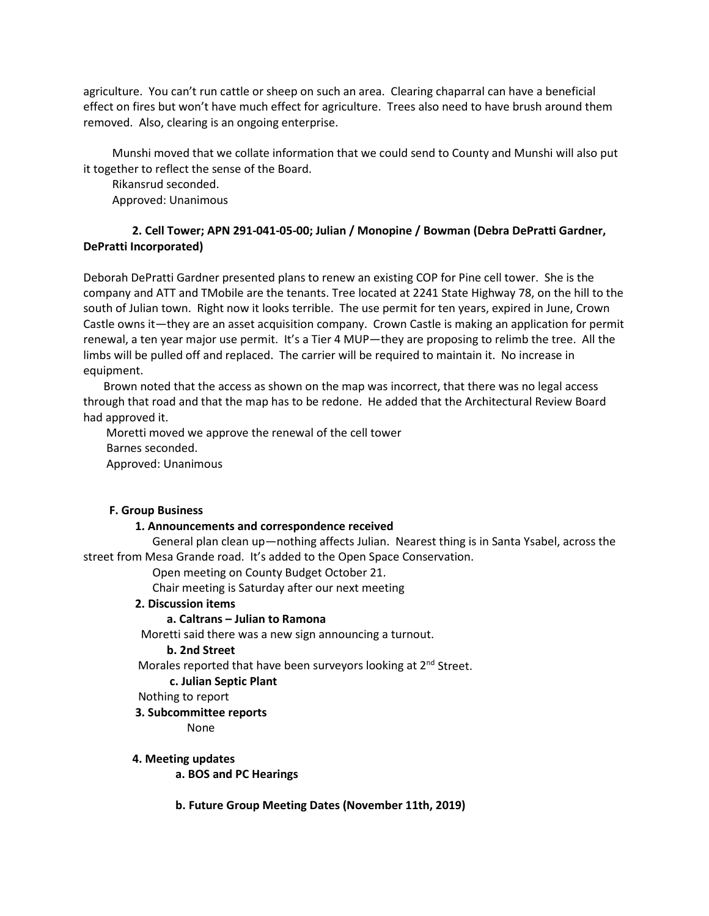agriculture. You can't run cattle or sheep on such an area. Clearing chaparral can have a beneficial effect on fires but won't have much effect for agriculture. Trees also need to have brush around them removed. Also, clearing is an ongoing enterprise.

 Munshi moved that we collate information that we could send to County and Munshi will also put it together to reflect the sense of the Board.

Rikansrud seconded.

Approved: Unanimous

# **2. Cell Tower; APN 291-041-05-00; Julian / Monopine / Bowman (Debra DePratti Gardner, DePratti Incorporated)**

Deborah DePratti Gardner presented plans to renew an existing COP for Pine cell tower. She is the company and ATT and TMobile are the tenants. Tree located at 2241 State Highway 78, on the hill to the south of Julian town. Right now it looks terrible. The use permit for ten years, expired in June, Crown Castle owns it—they are an asset acquisition company. Crown Castle is making an application for permit renewal, a ten year major use permit. It's a Tier 4 MUP—they are proposing to relimb the tree. All the limbs will be pulled off and replaced. The carrier will be required to maintain it. No increase in equipment.

 Brown noted that the access as shown on the map was incorrect, that there was no legal access through that road and that the map has to be redone. He added that the Architectural Review Board had approved it.

 Moretti moved we approve the renewal of the cell tower Barnes seconded. Approved: Unanimous

### **F. Group Business**

#### **1. Announcements and correspondence received**

 General plan clean up—nothing affects Julian. Nearest thing is in Santa Ysabel, across the street from Mesa Grande road. It's added to the Open Space Conservation.

Open meeting on County Budget October 21.

Chair meeting is Saturday after our next meeting

#### **2. Discussion items**

#### **a. Caltrans – Julian to Ramona**

Moretti said there was a new sign announcing a turnout.

#### **b. 2nd Street**

Morales reported that have been surveyors looking at 2nd Street.

### **c. Julian Septic Plant**

Nothing to report

### **3. Subcommittee reports**

None

### **4. Meeting updates**

 **a. BOS and PC Hearings** 

 **b. Future Group Meeting Dates (November 11th, 2019)**